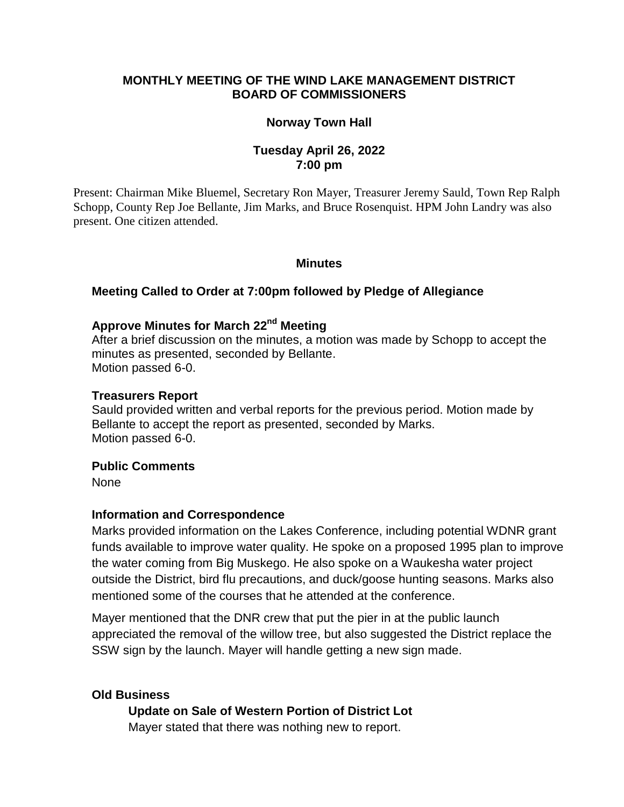## **MONTHLY MEETING OF THE WIND LAKE MANAGEMENT DISTRICT BOARD OF COMMISSIONERS**

#### **Norway Town Hall**

## **Tuesday April 26, 2022 7:00 pm**

Present: Chairman Mike Bluemel, Secretary Ron Mayer, Treasurer Jeremy Sauld, Town Rep Ralph Schopp, County Rep Joe Bellante, Jim Marks, and Bruce Rosenquist. HPM John Landry was also present. One citizen attended.

#### **Minutes**

#### **Meeting Called to Order at 7:00pm followed by Pledge of Allegiance**

# **Approve Minutes for March 22 nd Meeting**

After a brief discussion on the minutes, a motion was made by Schopp to accept the minutes as presented, seconded by Bellante. Motion passed 6-0.

#### **Treasurers Report**

Sauld provided written and verbal reports for the previous period. Motion made by Bellante to accept the report as presented, seconded by Marks. Motion passed 6-0.

#### **Public Comments**

None

#### **Information and Correspondence**

Marks provided information on the Lakes Conference, including potential WDNR grant funds available to improve water quality. He spoke on a proposed 1995 plan to improve the water coming from Big Muskego. He also spoke on a Waukesha water project outside the District, bird flu precautions, and duck/goose hunting seasons. Marks also mentioned some of the courses that he attended at the conference.

Mayer mentioned that the DNR crew that put the pier in at the public launch appreciated the removal of the willow tree, but also suggested the District replace the SSW sign by the launch. Mayer will handle getting a new sign made.

#### **Old Business**

#### **Update on Sale of Western Portion of District Lot**

Mayer stated that there was nothing new to report.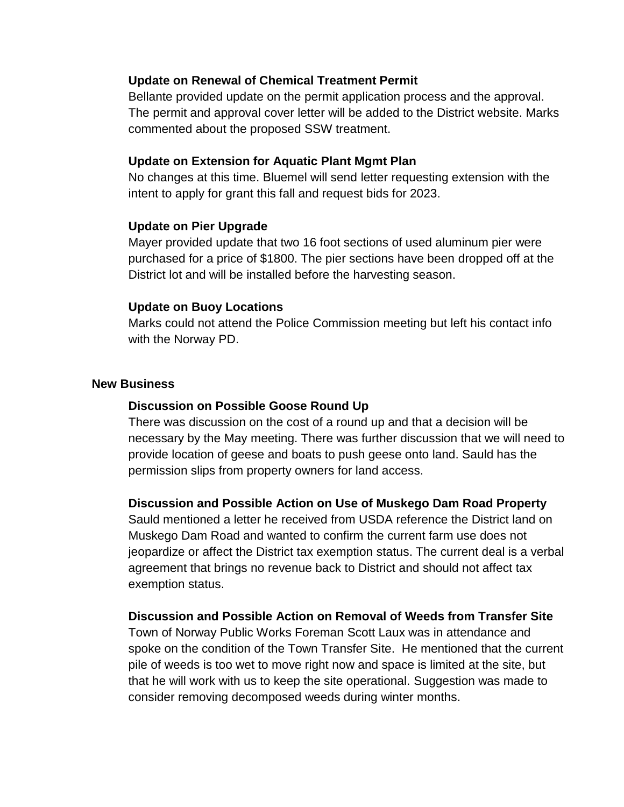## **Update on Renewal of Chemical Treatment Permit**

Bellante provided update on the permit application process and the approval. The permit and approval cover letter will be added to the District website. Marks commented about the proposed SSW treatment.

#### **Update on Extension for Aquatic Plant Mgmt Plan**

No changes at this time. Bluemel will send letter requesting extension with the intent to apply for grant this fall and request bids for 2023.

## **Update on Pier Upgrade**

Mayer provided update that two 16 foot sections of used aluminum pier were purchased for a price of \$1800. The pier sections have been dropped off at the District lot and will be installed before the harvesting season.

## **Update on Buoy Locations**

Marks could not attend the Police Commission meeting but left his contact info with the Norway PD.

## **New Business**

## **Discussion on Possible Goose Round Up**

There was discussion on the cost of a round up and that a decision will be necessary by the May meeting. There was further discussion that we will need to provide location of geese and boats to push geese onto land. Sauld has the permission slips from property owners for land access.

## **Discussion and Possible Action on Use of Muskego Dam Road Property**

Sauld mentioned a letter he received from USDA reference the District land on Muskego Dam Road and wanted to confirm the current farm use does not jeopardize or affect the District tax exemption status. The current deal is a verbal agreement that brings no revenue back to District and should not affect tax exemption status.

## **Discussion and Possible Action on Removal of Weeds from Transfer Site**

Town of Norway Public Works Foreman Scott Laux was in attendance and spoke on the condition of the Town Transfer Site. He mentioned that the current pile of weeds is too wet to move right now and space is limited at the site, but that he will work with us to keep the site operational. Suggestion was made to consider removing decomposed weeds during winter months.